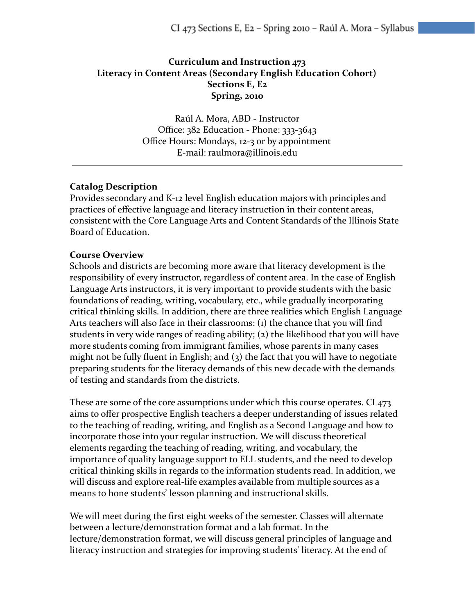# **Curriculum and Instruction 473 Literacy in Content Areas (Secondary English Education Cohort) Sections E, E2 Spring, 2010**

Raúl A. Mora, ABD - Instructor Office: 382 Education - Phone: 333-3643 Office Hours: Mondays, 12-3 or by appointment E-mail: raulmora@illinois.edu

## **Catalog Description**

Provides secondary and K-12 level English education majors with principles and practices of effective language and literacy instruction in their content areas, consistent with the Core Language Arts and Content Standards of the Illinois State Board of Education.

#### **Course Overview**

Schools and districts are becoming more aware that literacy development is the responsibility of every instructor, regardless of content area. In the case of English Language Arts instructors, it is very important to provide students with the basic foundations of reading, writing, vocabulary, etc., while gradually incorporating critical thinking skills. In addition, there are three realities which English Language Arts teachers will also face in their classrooms: (1) the chance that you will find students in very wide ranges of reading ability; (2) the likelihood that you will have more students coming from immigrant families, whose parents in many cases might not be fully fluent in English; and  $(3)$  the fact that you will have to negotiate preparing students for the literacy demands of this new decade with the demands of testing and standards from the districts.

These are some of the core assumptions under which this course operates. CI 473 aims to offer prospective English teachers a deeper understanding of issues related to the teaching of reading, writing, and English as a Second Language and how to incorporate those into your regular instruction. We will discuss theoretical elements regarding the teaching of reading, writing, and vocabulary, the importance of quality language support to ELL students, and the need to develop critical thinking skills in regards to the information students read. In addition, we will discuss and explore real-life examples available from multiple sources as a means to hone students' lesson planning and instructional skills.

We will meet during the first eight weeks of the semester. Classes will alternate between a lecture/demonstration format and a lab format. In the lecture/demonstration format, we will discuss general principles of language and literacy instruction and strategies for improving students' literacy. At the end of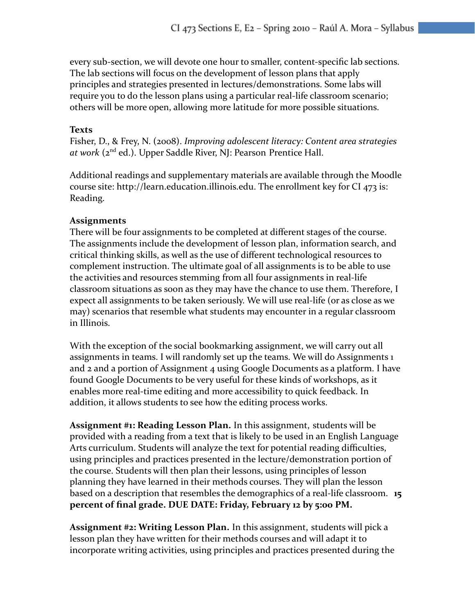every sub-section, we will devote one hour to smaller, content-specific lab sections. The lab sections will focus on the development of lesson plans that apply principles and strategies presented in lectures/demonstrations. Some labs will require you to do the lesson plans using a particular real-life classroom scenario; others will be more open, allowing more latitude for more possible situations.

#### **Texts**

Fisher, D., & Frey, N. (2008). *Improving adolescent literacy: Content area strategies at work* (2nd ed.). Upper Saddle River, NJ: Pearson Prentice Hall.

Additional readings and supplementary materials are available through the Moodle course site: http://learn.education.illinois.edu. The enrollment key for CI 473 is: Reading.

#### **Assignments**

There will be four assignments to be completed at different stages of the course. The assignments include the development of lesson plan, information search, and critical thinking skills, as well as the use of different technological resources to complement instruction. The ultimate goal of all assignments is to be able to use the activities and resources stemming from all four assignments in real-life classroom situations as soon as they may have the chance to use them. Therefore, I expect all assignments to be taken seriously. We will use real-life (or as close as we may) scenarios that resemble what students may encounter in a regular classroom in Illinois.

With the exception of the social bookmarking assignment, we will carry out all assignments in teams. I will randomly set up the teams. We will do Assignments 1 and 2 and a portion of Assignment 4 using Google Documents as a platform. I have found Google Documents to be very useful for these kinds of workshops, as it enables more real-time editing and more accessibility to quick feedback. In addition, it allows students to see how the editing process works.

**Assignment #1: Reading Lesson Plan.** In this assignment, students will be provided with a reading from a text that is likely to be used in an English Language Arts curriculum. Students will analyze the text for potential reading difficulties, using principles and practices presented in the lecture/demonstration portion of the course. Students will then plan their lessons, using principles of lesson planning they have learned in their methods courses. They will plan the lesson based on a description that resembles the demographics of a real-life classroom. **15 percent of final grade. DUE DATE: Friday, February 12 by 5:00 PM.**

**Assignment #2: Writing Lesson Plan.** In this assignment, students will pick a lesson plan they have written for their methods courses and will adapt it to incorporate writing activities, using principles and practices presented during the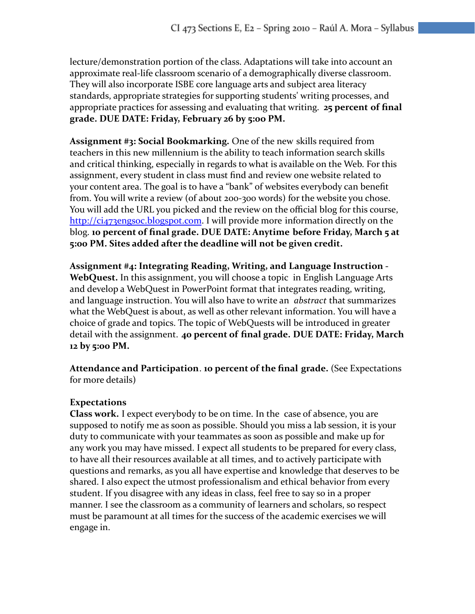lecture/demonstration portion of the class. Adaptations will take into account an approximate real-life classroom scenario of a demographically diverse classroom. They will also incorporate ISBE core language arts and subject area literacy standards, appropriate strategies for supporting students' writing processes, and appropriate practices for assessing and evaluating that writing. **25 percent of final grade. DUE DATE: Friday, February 26 by 5:0o PM.**

**Assignment #3: Social Bookmarking.** One of the new skills required from teachers in this new millennium is the ability to teach information search skills and critical thinking, especially in regards to what is available on the Web. For this assignment, every student in class must find and review one website related to your content area. The goal is to have a "bank" of websites everybody can benefit from. You will write a review (of about 200-300 words) for the website you chose. You will add the URL you picked and the review on the official blog for this course, <http://ci473engsoc.blogspot.com>. I will provide more information directly on the blog. **10 percent of final grade. DUE DATE: Anytime before Friday, March 5 at 5:00 PM. Sites added after the deadline will not be given credit.**

**Assignment #4: Integrating Reading, Writing, and Language Instruction - WebQuest.** In this assignment, you will choose a topic in English Language Arts and develop a WebQuest in PowerPoint format that integrates reading, writing, and language instruction. You will also have to write an *abstract* that summarizes what the WebQuest is about, as well as other relevant information. You will have a choice of grade and topics. The topic of WebQuests will be introduced in greater detail with the assignment. **40 percent of final grade. DUE DATE: Friday, March 12 by 5:00 PM.**

**Attendance and Participation**. **10 percent of the final grade.** (See Expectations for more details)

# **Expectations**

**Class work.** I expect everybody to be on time. In the case of absence, you are supposed to notify me as soon as possible. Should you miss a lab session, it is your duty to communicate with your teammates as soon as possible and make up for any work you may have missed. I expect all students to be prepared for every class, to have all their resources available at all times, and to actively participate with questions and remarks, as you all have expertise and knowledge that deserves to be shared. I also expect the utmost professionalism and ethical behavior from every student. If you disagree with any ideas in class, feel free to say so in a proper manner. I see the classroom as a community of learners and scholars, so respect must be paramount at all times for the success of the academic exercises we will engage in.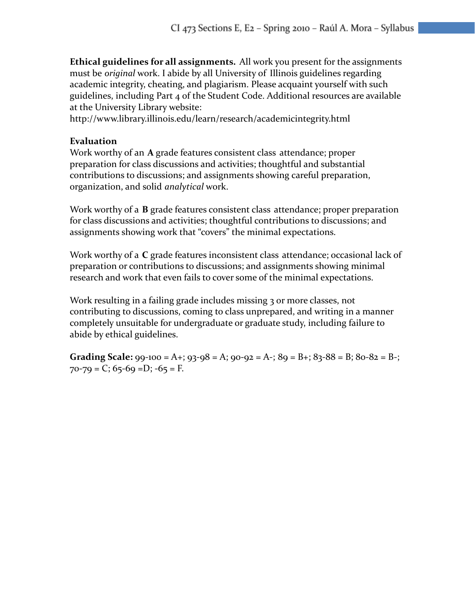**Ethical guidelines for all assignments.** All work you present for the assignments must be *original* work. I abide by all University of Illinois guidelines regarding academic integrity, cheating, and plagiarism. Please acquaint yourself with such guidelines, including Part 4 of the Student Code. Additional resources are available at the University Library website:

http://www.library.illinois.edu/learn/research/academicintegrity.html

### **Evaluation**

Work worthy of an **A** grade features consistent class attendance; proper preparation for class discussions and activities; thoughtful and substantial contributions to discussions; and assignments showing careful preparation, organization, and solid *analytical* work.

Work worthy of a **B** grade features consistent class attendance; proper preparation for class discussions and activities; thoughtful contributions to discussions; and assignments showing work that "covers" the minimal expectations.

Work worthy of a **C** grade features inconsistent class attendance; occasional lack of preparation or contributions to discussions; and assignments showing minimal research and work that even fails to cover some of the minimal expectations.

Work resulting in a failing grade includes missing 3 or more classes, not contributing to discussions, coming to class unprepared, and writing in a manner completely unsuitable for undergraduate or graduate study, including failure to abide by ethical guidelines.

**Grading Scale:**  $99-100 = A$ +;  $93-98 = A$ ;  $90-92 = A$ -;  $89 = B$ +;  $83-88 = B$ ;  $80-82 = B$ -;  $70 - 79 = C$ ;  $65 - 69 = D$ ;  $-65 = F$ .